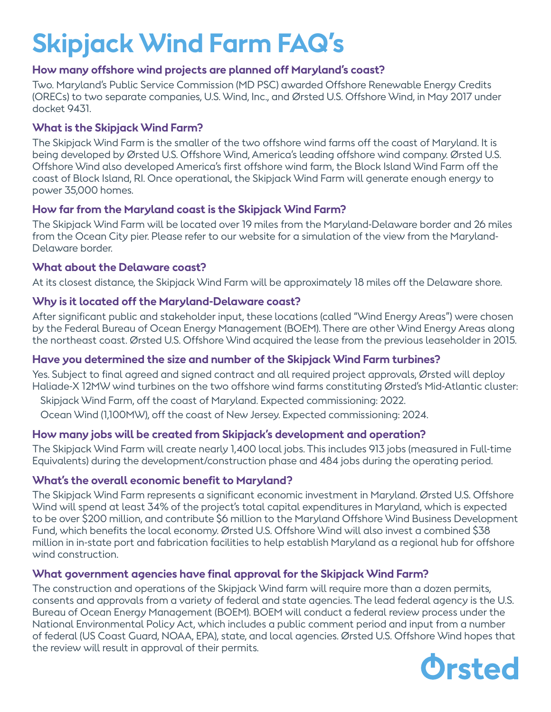# **Skipjack Wind Farm FAQ's**

## **How many offshore wind projects are planned off Maryland's coast?**

Two. Maryland's Public Service Commission (MD PSC) awarded Offshore Renewable Energy Credits (ORECs) to two separate companies, U.S. Wind, Inc., and Ørsted U.S. Offshore Wind, in May 2017 under docket 9431.

## **What is the Skipjack Wind Farm?**

The Skipjack Wind Farm is the smaller of the two offshore wind farms off the coast of Maryland. It is being developed by Ørsted U.S. Offshore Wind, America's leading offshore wind company. Ørsted U.S. Offshore Wind also developed America's first offshore wind farm, the Block Island Wind Farm off the coast of Block Island, RI. Once operational, the Skipjack Wind Farm will generate enough energy to power 35,000 homes.

## **How far from the Maryland coast is the Skipjack Wind Farm?**

The Skipjack Wind Farm will be located over 19 miles from the Maryland-Delaware border and 26 miles from the Ocean City pier. Please refer to our website for a simulation of the view from the Maryland-Delaware border.

## **What about the Delaware coast?**

At its closest distance, the Skipjack Wind Farm will be approximately 18 miles off the Delaware shore.

## **Why is it located off the Maryland-Delaware coast?**

After significant public and stakeholder input, these locations (called "Wind Energy Areas") were chosen by the Federal Bureau of Ocean Energy Management (BOEM). There are other Wind Energy Areas along the northeast coast. Ørsted U.S. Offshore Wind acquired the lease from the previous leaseholder in 2015.

# **Have you determined the size and number of the Skipjack Wind Farm turbines?**

Yes. Subject to final agreed and signed contract and all required project approvals, Ørsted will deploy Haliade-X 12MW wind turbines on the two offshore wind farms constituting Ørsted's Mid-Atlantic cluster:

Skipjack Wind Farm, off the coast of Maryland. Expected commissioning: 2022.

Ocean Wind (1,100MW), off the coast of New Jersey. Expected commissioning: 2024.

# **How many jobs will be created from Skipjack's development and operation?**

The Skipjack Wind Farm will create nearly 1,400 local jobs. This includes 913 jobs (measured in Full-time Equivalents) during the development/construction phase and 484 jobs during the operating period.

## **What's the overall economic benefit to Maryland?**

The Skipjack Wind Farm represents a significant economic investment in Maryland. Ørsted U.S. Offshore Wind will spend at least 34% of the project's total capital expenditures in Maryland, which is expected to be over \$200 million, and contribute \$6 million to the Maryland Offshore Wind Business Development Fund, which benefits the local economy. Ørsted U.S. Offshore Wind will also invest a combined \$38 million in in-state port and fabrication facilities to help establish Maryland as a regional hub for offshore wind construction.

# **What government agencies have final approval for the Skipjack Wind Farm?**

The construction and operations of the Skipjack Wind farm will require more than a dozen permits, consents and approvals from a variety of federal and state agencies. The lead federal agency is the U.S. Bureau of Ocean Energy Management (BOEM). BOEM will conduct a federal review process under the National Environmental Policy Act, which includes a public comment period and input from a number of federal (US Coast Guard, NOAA, EPA), state, and local agencies. Ørsted U.S. Offshore Wind hopes that the review will result in approval of their permits.